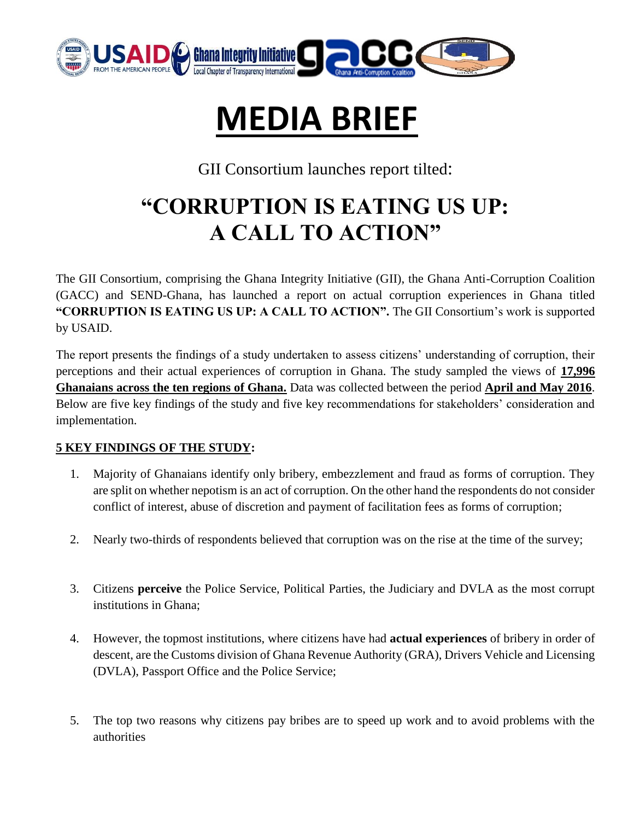

# **MEDIA BRIEF**

GII Consortium launches report tilted:

## **"CORRUPTION IS EATING US UP: A CALL TO ACTION"**

The GII Consortium, comprising the Ghana Integrity Initiative (GII), the Ghana Anti-Corruption Coalition (GACC) and SEND-Ghana, has launched a report on actual corruption experiences in Ghana titled **"CORRUPTION IS EATING US UP: A CALL TO ACTION".** The GII Consortium's work is supported by USAID.

The report presents the findings of a study undertaken to assess citizens' understanding of corruption, their perceptions and their actual experiences of corruption in Ghana. The study sampled the views of **17,996 Ghanaians across the ten regions of Ghana.** Data was collected between the period **April and May 2016**. Below are five key findings of the study and five key recommendations for stakeholders' consideration and implementation.

### **5 KEY FINDINGS OF THE STUDY:**

- 1. Majority of Ghanaians identify only bribery, embezzlement and fraud as forms of corruption. They are split on whether nepotism is an act of corruption. On the other hand the respondents do not consider conflict of interest, abuse of discretion and payment of facilitation fees as forms of corruption;
- 2. Nearly two-thirds of respondents believed that corruption was on the rise at the time of the survey;
- 3. Citizens **perceive** the Police Service, Political Parties, the Judiciary and DVLA as the most corrupt institutions in Ghana;
- 4. However, the topmost institutions, where citizens have had **actual experiences** of bribery in order of descent, are the Customs division of Ghana Revenue Authority (GRA), Drivers Vehicle and Licensing (DVLA), Passport Office and the Police Service;
- 5. The top two reasons why citizens pay bribes are to speed up work and to avoid problems with the authorities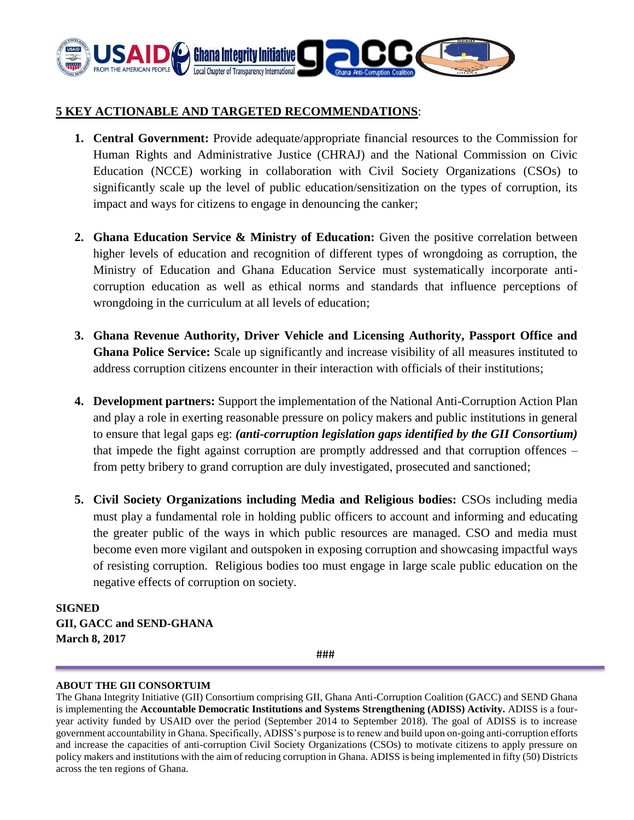

### **5 KEY ACTIONABLE AND TARGETED RECOMMENDATIONS**:

- **1. Central Government:** Provide adequate/appropriate financial resources to the Commission for Human Rights and Administrative Justice (CHRAJ) and the National Commission on Civic Education (NCCE) working in collaboration with Civil Society Organizations (CSOs) to significantly scale up the level of public education/sensitization on the types of corruption, its impact and ways for citizens to engage in denouncing the canker;
- **2. Ghana Education Service & Ministry of Education:** Given the positive correlation between higher levels of education and recognition of different types of wrongdoing as corruption, the Ministry of Education and Ghana Education Service must systematically incorporate anticorruption education as well as ethical norms and standards that influence perceptions of wrongdoing in the curriculum at all levels of education;
- **3. Ghana Revenue Authority, Driver Vehicle and Licensing Authority, Passport Office and Ghana Police Service:** Scale up significantly and increase visibility of all measures instituted to address corruption citizens encounter in their interaction with officials of their institutions;
- **4. Development partners:** Support the implementation of the National Anti-Corruption Action Plan and play a role in exerting reasonable pressure on policy makers and public institutions in general to ensure that legal gaps eg: *(anti-corruption legislation gaps identified by the GII Consortium)* that impede the fight against corruption are promptly addressed and that corruption offences – from petty bribery to grand corruption are duly investigated, prosecuted and sanctioned;
- **5. Civil Society Organizations including Media and Religious bodies:** CSOs including media must play a fundamental role in holding public officers to account and informing and educating the greater public of the ways in which public resources are managed. CSO and media must become even more vigilant and outspoken in exposing corruption and showcasing impactful ways of resisting corruption. Religious bodies too must engage in large scale public education on the negative effects of corruption on society.

**SIGNED GII, GACC and SEND-GHANA March 8, 2017**

###

#### **ABOUT THE GII CONSORTUIM**

The Ghana Integrity Initiative (GII) Consortium comprising GII, Ghana Anti-Corruption Coalition (GACC) and SEND Ghana is implementing the **Accountable Democratic Institutions and Systems Strengthening (ADISS) Activity.** ADISS is a fouryear activity funded by USAID over the period (September 2014 to September 2018). The goal of ADISS is to increase government accountability in Ghana. Specifically, ADISS's purpose is to renew and build upon on-going anti-corruption efforts and increase the capacities of anti-corruption Civil Society Organizations (CSOs) to motivate citizens to apply pressure on policy makers and institutions with the aim of reducing corruption in Ghana. ADISS is being implemented in fifty (50) Districts across the ten regions of Ghana.